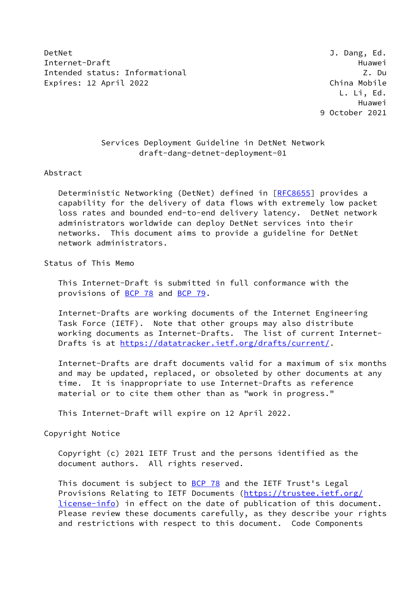DetNet J. Dang, Ed. Internet-Draft Huawei Intended status: Informational Z. Du Expires: 12 April 2022 **China Mobile** Expires: 12 April 2022

 L. Li, Ed. Huawei 9 October 2021

# Services Deployment Guideline in DetNet Network draft-dang-detnet-deployment-01

#### Abstract

Deterministic Networking (DetNet) defined in [\[RFC8655](https://datatracker.ietf.org/doc/pdf/rfc8655)] provides a capability for the delivery of data flows with extremely low packet loss rates and bounded end-to-end delivery latency. DetNet network administrators worldwide can deploy DetNet services into their networks. This document aims to provide a guideline for DetNet network administrators.

# Status of This Memo

 This Internet-Draft is submitted in full conformance with the provisions of [BCP 78](https://datatracker.ietf.org/doc/pdf/bcp78) and [BCP 79](https://datatracker.ietf.org/doc/pdf/bcp79).

 Internet-Drafts are working documents of the Internet Engineering Task Force (IETF). Note that other groups may also distribute working documents as Internet-Drafts. The list of current Internet- Drafts is at<https://datatracker.ietf.org/drafts/current/>.

 Internet-Drafts are draft documents valid for a maximum of six months and may be updated, replaced, or obsoleted by other documents at any time. It is inappropriate to use Internet-Drafts as reference material or to cite them other than as "work in progress."

This Internet-Draft will expire on 12 April 2022.

#### Copyright Notice

 Copyright (c) 2021 IETF Trust and the persons identified as the document authors. All rights reserved.

This document is subject to **[BCP 78](https://datatracker.ietf.org/doc/pdf/bcp78)** and the IETF Trust's Legal Provisions Relating to IETF Documents ([https://trustee.ietf.org/](https://trustee.ietf.org/license-info) [license-info](https://trustee.ietf.org/license-info)) in effect on the date of publication of this document. Please review these documents carefully, as they describe your rights and restrictions with respect to this document. Code Components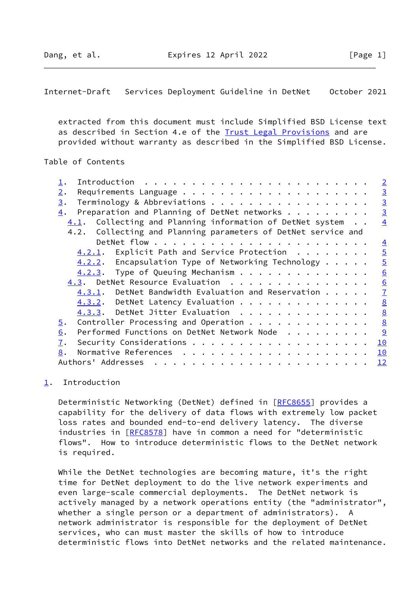<span id="page-1-1"></span>Internet-Draft Services Deployment Guideline in DetNet October 2021

 extracted from this document must include Simplified BSD License text as described in Section 4.e of the [Trust Legal Provisions](https://trustee.ietf.org/license-info) and are provided without warranty as described in the Simplified BSD License.

### Table of Contents

|                                                                                              | $\overline{2}$  |
|----------------------------------------------------------------------------------------------|-----------------|
| 2.                                                                                           | $\overline{3}$  |
| Terminology & Abbreviations<br>3.                                                            | $\overline{3}$  |
| Preparation and Planning of DetNet networks<br>4.                                            | $\overline{3}$  |
| Collecting and Planning information of DetNet system<br>4.1.                                 | $\overline{4}$  |
| Collecting and Planning parameters of DetNet service and<br>4.2.                             |                 |
| DetNet flow $\cdots$ $\cdots$ $\cdots$ $\cdots$ $\cdots$ $\cdots$ $\cdots$ $\cdots$ $\cdots$ | $\overline{4}$  |
| 4.2.1. Explicit Path and Service Protection                                                  | $\overline{5}$  |
| $4.2.2.$ Encapsulation Type of Networking Technology $\cdots$ .                              | $\overline{5}$  |
| $4.2.3$ . Type of Queuing Mechanism                                                          | 6               |
| 4.3. DetNet Resource Evaluation                                                              | 6               |
| 4.3.1. DetNet Bandwidth Evaluation and Reservation                                           | $\overline{1}$  |
| 4.3.2. DetNet Latency Evaluation                                                             | $\underline{8}$ |
| 4.3.3. DetNet Jitter Evaluation                                                              | $\underline{8}$ |
| Controller Processing and Operation<br>$\overline{5}$ .                                      | $\frac{8}{2}$   |
| Performed Functions on DetNet Network Node<br>6.                                             |                 |
| $\overline{1}$ .                                                                             | 10              |
| 8.                                                                                           | <u> 10</u>      |
| Authors' Addresses                                                                           | 12              |

## <span id="page-1-0"></span>[1](#page-1-0). Introduction

Deterministic Networking (DetNet) defined in [\[RFC8655](https://datatracker.ietf.org/doc/pdf/rfc8655)] provides a capability for the delivery of data flows with extremely low packet loss rates and bounded end-to-end delivery latency. The diverse industries in [[RFC8578](https://datatracker.ietf.org/doc/pdf/rfc8578)] have in common a need for "deterministic flows". How to introduce deterministic flows to the DetNet network is required.

 While the DetNet technologies are becoming mature, it's the right time for DetNet deployment to do the live network experiments and even large-scale commercial deployments. The DetNet network is actively managed by a network operations entity (the "administrator", whether a single person or a department of administrators). A network administrator is responsible for the deployment of DetNet services, who can must master the skills of how to introduce deterministic flows into DetNet networks and the related maintenance.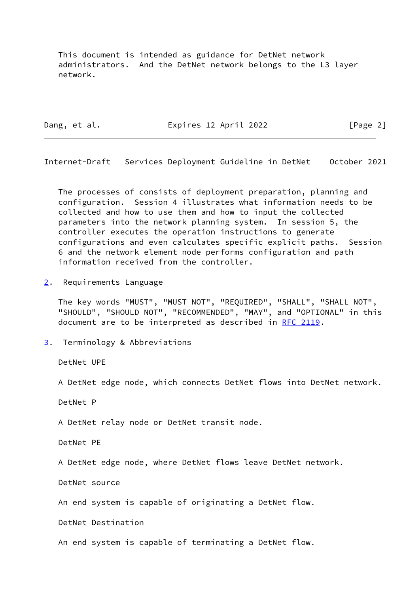This document is intended as guidance for DetNet network administrators. And the DetNet network belongs to the L3 layer network.

Dang, et al. **Expires 12 April 2022** [Page 2]

<span id="page-2-1"></span>Internet-Draft Services Deployment Guideline in DetNet October 2021

 The processes of consists of deployment preparation, planning and configuration. Session 4 illustrates what information needs to be collected and how to use them and how to input the collected parameters into the network planning system. In session 5, the controller executes the operation instructions to generate configurations and even calculates specific explicit paths. Session 6 and the network element node performs configuration and path information received from the controller.

<span id="page-2-0"></span>[2](#page-2-0). Requirements Language

 The key words "MUST", "MUST NOT", "REQUIRED", "SHALL", "SHALL NOT", "SHOULD", "SHOULD NOT", "RECOMMENDED", "MAY", and "OPTIONAL" in this document are to be interpreted as described in [RFC 2119.](https://datatracker.ietf.org/doc/pdf/rfc2119)

<span id="page-2-2"></span>[3](#page-2-2). Terminology & Abbreviations

DetNet UPE

A DetNet edge node, which connects DetNet flows into DetNet network.

DetNet P

A DetNet relay node or DetNet transit node.

DetNet PE

A DetNet edge node, where DetNet flows leave DetNet network.

DetNet source

An end system is capable of originating a DetNet flow.

DetNet Destination

An end system is capable of terminating a DetNet flow.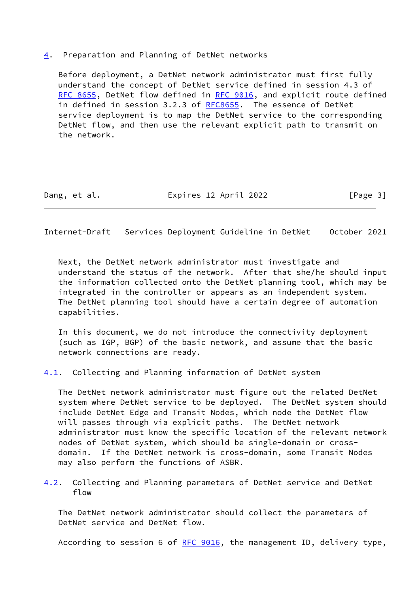### <span id="page-3-0"></span>[4](#page-3-0). Preparation and Planning of DetNet networks

 Before deployment, a DetNet network administrator must first fully understand the concept of DetNet service defined in session 4.3 of [RFC 8655](https://datatracker.ietf.org/doc/pdf/rfc8655), DetNet flow defined in [RFC 9016](https://datatracker.ietf.org/doc/pdf/rfc9016), and explicit route defined in defined in session 3.2.3 of [RFC8655](https://datatracker.ietf.org/doc/pdf/rfc8655). The essence of DetNet service deployment is to map the DetNet service to the corresponding DetNet flow, and then use the relevant explicit path to transmit on the network.

Dang, et al. Expires 12 April 2022 [Page 3]

<span id="page-3-2"></span>Internet-Draft Services Deployment Guideline in DetNet October 2021

 Next, the DetNet network administrator must investigate and understand the status of the network. After that she/he should input the information collected onto the DetNet planning tool, which may be integrated in the controller or appears as an independent system. The DetNet planning tool should have a certain degree of automation capabilities.

 In this document, we do not introduce the connectivity deployment (such as IGP, BGP) of the basic network, and assume that the basic network connections are ready.

<span id="page-3-1"></span>[4.1](#page-3-1). Collecting and Planning information of DetNet system

 The DetNet network administrator must figure out the related DetNet system where DetNet service to be deployed. The DetNet system should include DetNet Edge and Transit Nodes, which node the DetNet flow will passes through via explicit paths. The DetNet network administrator must know the specific location of the relevant network nodes of DetNet system, which should be single-domain or cross domain. If the DetNet network is cross-domain, some Transit Nodes may also perform the functions of ASBR.

<span id="page-3-3"></span>[4.2](#page-3-3). Collecting and Planning parameters of DetNet service and DetNet flow

 The DetNet network administrator should collect the parameters of DetNet service and DetNet flow.

According to session 6 of [RFC 9016](https://datatracker.ietf.org/doc/pdf/rfc9016), the management ID, delivery type,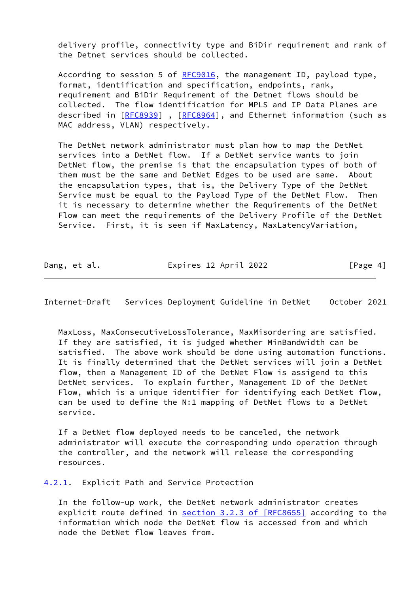delivery profile, connectivity type and BiDir requirement and rank of the Detnet services should be collected.

According to session 5 of [RFC9016](https://datatracker.ietf.org/doc/pdf/rfc9016), the management ID, payload type, format, identification and specification, endpoints, rank, requirement and BiDir Requirement of the Detnet flows should be collected. The flow identification for MPLS and IP Data Planes are described in [\[RFC8939](https://datatracker.ietf.org/doc/pdf/rfc8939)], [\[RFC8964](https://datatracker.ietf.org/doc/pdf/rfc8964)], and Ethernet information (such as MAC address, VLAN) respectively.

 The DetNet network administrator must plan how to map the DetNet services into a DetNet flow. If a DetNet service wants to join DetNet flow, the premise is that the encapsulation types of both of them must be the same and DetNet Edges to be used are same. About the encapsulation types, that is, the Delivery Type of the DetNet Service must be equal to the Payload Type of the DetNet Flow. Then it is necessary to determine whether the Requirements of the DetNet Flow can meet the requirements of the Delivery Profile of the DetNet Service. First, it is seen if MaxLatency, MaxLatencyVariation,

Dang, et al. **Expires 12 April 2022** [Page 4]

<span id="page-4-1"></span>Internet-Draft Services Deployment Guideline in DetNet October 2021

 MaxLoss, MaxConsecutiveLossTolerance, MaxMisordering are satisfied. If they are satisfied, it is judged whether MinBandwidth can be satisfied. The above work should be done using automation functions. It is finally determined that the DetNet services will join a DetNet flow, then a Management ID of the DetNet Flow is assigend to this DetNet services. To explain further, Management ID of the DetNet Flow, which is a unique identifier for identifying each DetNet flow, can be used to define the N:1 mapping of DetNet flows to a DetNet service.

 If a DetNet flow deployed needs to be canceled, the network administrator will execute the corresponding undo operation through the controller, and the network will release the corresponding resources.

<span id="page-4-0"></span>[4.2.1](#page-4-0). Explicit Path and Service Protection

 In the follow-up work, the DetNet network administrator creates explicit route defined in section [3.2.3 of \[RFC8655\]](https://datatracker.ietf.org/doc/pdf/rfc8655#section-3.2.3) according to the information which node the DetNet flow is accessed from and which node the DetNet flow leaves from.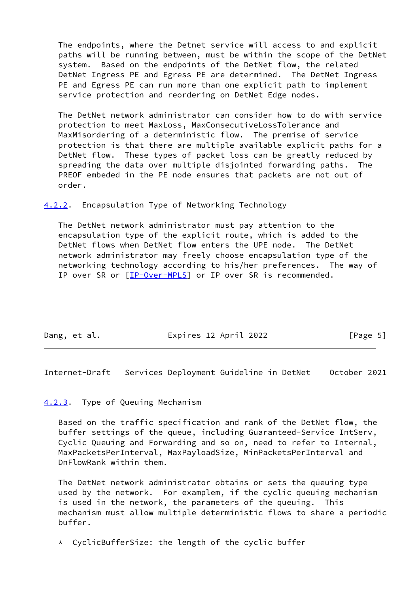The endpoints, where the Detnet service will access to and explicit paths will be running between, must be within the scope of the DetNet system. Based on the endpoints of the DetNet flow, the related DetNet Ingress PE and Egress PE are determined. The DetNet Ingress PE and Egress PE can run more than one explicit path to implement service protection and reordering on DetNet Edge nodes.

 The DetNet network administrator can consider how to do with service protection to meet MaxLoss, MaxConsecutiveLossTolerance and MaxMisordering of a deterministic flow. The premise of service protection is that there are multiple available explicit paths for a DetNet flow. These types of packet loss can be greatly reduced by spreading the data over multiple disjointed forwarding paths. The PREOF embeded in the PE node ensures that packets are not out of order.

<span id="page-5-0"></span>[4.2.2](#page-5-0). Encapsulation Type of Networking Technology

 The DetNet network administrator must pay attention to the encapsulation type of the explicit route, which is added to the DetNet flows when DetNet flow enters the UPE node. The DetNet network administrator may freely choose encapsulation type of the networking technology according to his/her preferences. The way of IP over SR or [[IP-Over-MPLS\]](#page-11-1) or IP over SR is recommended.

| Dang, et al. | Expires 12 April 2022 | [Page 5] |
|--------------|-----------------------|----------|
|              |                       |          |

<span id="page-5-2"></span>Internet-Draft Services Deployment Guideline in DetNet October 2021

### <span id="page-5-1"></span>[4.2.3](#page-5-1). Type of Queuing Mechanism

 Based on the traffic specification and rank of the DetNet flow, the buffer settings of the queue, including Guaranteed-Service IntServ, Cyclic Queuing and Forwarding and so on, need to refer to Internal, MaxPacketsPerInterval, MaxPayloadSize, MinPacketsPerInterval and DnFlowRank within them.

 The DetNet network administrator obtains or sets the queuing type used by the network. For examplem, if the cyclic queuing mechanism is used in the network, the parameters of the queuing. This mechanism must allow multiple deterministic flows to share a periodic buffer.

\* CyclicBufferSize: the length of the cyclic buffer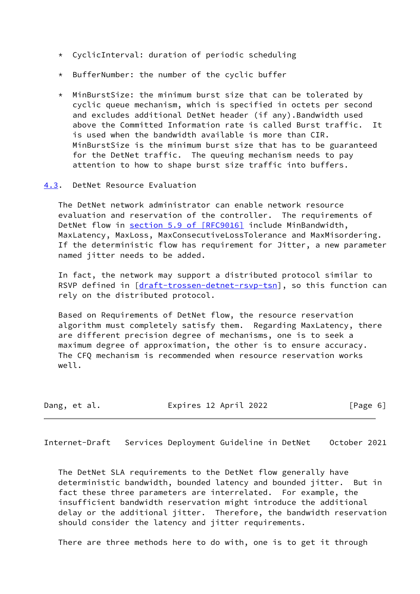- \* CyclicInterval: duration of periodic scheduling
- \* BufferNumber: the number of the cyclic buffer
- \* MinBurstSize: the minimum burst size that can be tolerated by cyclic queue mechanism, which is specified in octets per second and excludes additional DetNet header (if any).Bandwidth used above the Committed Information rate is called Burst traffic. It is used when the bandwidth available is more than CIR. MinBurstSize is the minimum burst size that has to be guaranteed for the DetNet traffic. The queuing mechanism needs to pay attention to how to shape burst size traffic into buffers.
- <span id="page-6-0"></span>[4.3](#page-6-0). DetNet Resource Evaluation

 The DetNet network administrator can enable network resource evaluation and reservation of the controller. The requirements of DetNet flow in section [5.9 of \[RFC9016\]](https://datatracker.ietf.org/doc/pdf/rfc9016#section-5.9) include MinBandwidth, MaxLatency, MaxLoss, MaxConsecutiveLossTolerance and MaxMisordering. If the deterministic flow has requirement for Jitter, a new parameter named jitter needs to be added.

 In fact, the network may support a distributed protocol similar to RSVP defined in [\[draft-trossen-detnet-rsvp-tsn](https://datatracker.ietf.org/doc/pdf/draft-trossen-detnet-rsvp-tsn)], so this function can rely on the distributed protocol.

 Based on Requirements of DetNet flow, the resource reservation algorithm must completely satisfy them. Regarding MaxLatency, there are different precision degree of mechanisms, one is to seek a maximum degree of approximation, the other is to ensure accuracy. The CFQ mechanism is recommended when resource reservation works well.

Dang, et al. Expires 12 April 2022 [Page 6]

<span id="page-6-1"></span>Internet-Draft Services Deployment Guideline in DetNet October 2021

 The DetNet SLA requirements to the DetNet flow generally have deterministic bandwidth, bounded latency and bounded jitter. But in fact these three parameters are interrelated. For example, the insufficient bandwidth reservation might introduce the additional delay or the additional jitter. Therefore, the bandwidth reservation should consider the latency and jitter requirements.

There are three methods here to do with, one is to get it through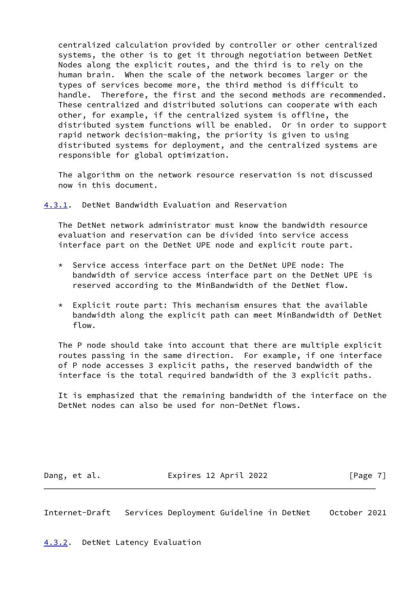centralized calculation provided by controller or other centralized systems, the other is to get it through negotiation between DetNet Nodes along the explicit routes, and the third is to rely on the human brain. When the scale of the network becomes larger or the types of services become more, the third method is difficult to handle. Therefore, the first and the second methods are recommended. These centralized and distributed solutions can cooperate with each other, for example, if the centralized system is offline, the distributed system functions will be enabled. Or in order to support rapid network decision-making, the priority is given to using distributed systems for deployment, and the centralized systems are responsible for global optimization.

 The algorithm on the network resource reservation is not discussed now in this document.

<span id="page-7-0"></span>[4.3.1](#page-7-0). DetNet Bandwidth Evaluation and Reservation

 The DetNet network administrator must know the bandwidth resource evaluation and reservation can be divided into service access interface part on the DetNet UPE node and explicit route part.

- \* Service access interface part on the DetNet UPE node: The bandwidth of service access interface part on the DetNet UPE is reserved according to the MinBandwidth of the DetNet flow.
- $*$  Explicit route part: This mechanism ensures that the available bandwidth along the explicit path can meet MinBandwidth of DetNet flow.

 The P node should take into account that there are multiple explicit routes passing in the same direction. For example, if one interface of P node accesses 3 explicit paths, the reserved bandwidth of the interface is the total required bandwidth of the 3 explicit paths.

 It is emphasized that the remaining bandwidth of the interface on the DetNet nodes can also be used for non-DetNet flows.

Dang, et al. **Expires 12 April 2022** [Page 7]

<span id="page-7-2"></span>Internet-Draft Services Deployment Guideline in DetNet October 2021

<span id="page-7-1"></span>[4.3.2](#page-7-1). DetNet Latency Evaluation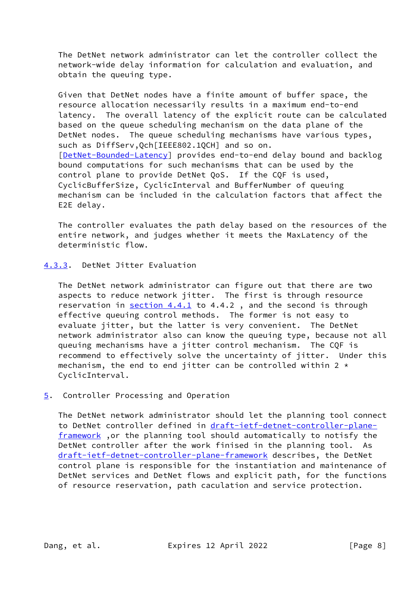The DetNet network administrator can let the controller collect the network-wide delay information for calculation and evaluation, and obtain the queuing type.

 Given that DetNet nodes have a finite amount of buffer space, the resource allocation necessarily results in a maximum end-to-end latency. The overall latency of the explicit route can be calculated based on the queue scheduling mechanism on the data plane of the DetNet nodes. The queue scheduling mechanisms have various types, such as DiffServ,Qch[IEEE802.1QCH] and so on. [\[DetNet-Bounded-Latency](#page-11-2)] provides end-to-end delay bound and backlog bound computations for such mechanisms that can be used by the control plane to provide DetNet QoS. If the CQF is used, CyclicBufferSize, CyclicInterval and BufferNumber of queuing mechanism can be included in the calculation factors that affect the E2E delay.

 The controller evaluates the path delay based on the resources of the entire network, and judges whether it meets the MaxLatency of the deterministic flow.

## <span id="page-8-0"></span>[4.3.3](#page-8-0). DetNet Jitter Evaluation

 The DetNet network administrator can figure out that there are two aspects to reduce network jitter. The first is through resource reservation in  $section 4.4.1$  to 4.4.2, and the second is through effective queuing control methods. The former is not easy to evaluate jitter, but the latter is very convenient. The DetNet network administrator also can know the queuing type, because not all queuing mechanisms have a jitter control mechanism. The CQF is recommend to effectively solve the uncertainty of jitter. Under this mechanism, the end to end jitter can be controlled within 2  $\star$ CyclicInterval.

## <span id="page-8-1"></span>[5](#page-8-1). Controller Processing and Operation

 The DetNet network administrator should let the planning tool connect to DetNet controller defined in [draft-ietf-detnet-controller-plane](https://datatracker.ietf.org/doc/pdf/draft-ietf-detnet-controller-plane-framework) [framework](https://datatracker.ietf.org/doc/pdf/draft-ietf-detnet-controller-plane-framework), or the planning tool should automatically to notisfy the DetNet controller after the work finised in the planning tool. As [draft-ietf-detnet-controller-plane-framework](https://datatracker.ietf.org/doc/pdf/draft-ietf-detnet-controller-plane-framework) describes, the DetNet control plane is responsible for the instantiation and maintenance of DetNet services and DetNet flows and explicit path, for the functions of resource reservation, path caculation and service protection.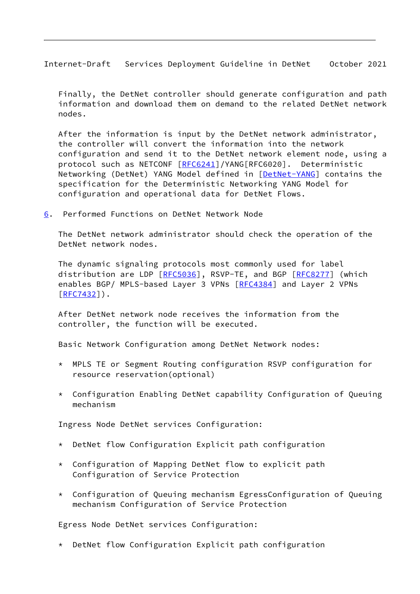<span id="page-9-1"></span>Internet-Draft Services Deployment Guideline in DetNet October 2021

 Finally, the DetNet controller should generate configuration and path information and download them on demand to the related DetNet network nodes.

 After the information is input by the DetNet network administrator, the controller will convert the information into the network configuration and send it to the DetNet network element node, using a protocol such as NETCONF [\[RFC6241](https://datatracker.ietf.org/doc/pdf/rfc6241)]/YANG[RFC6020]. Deterministic Networking (DetNet) YANG Model defined in [[DetNet-YANG](#page-11-3)] contains the specification for the Deterministic Networking YANG Model for configuration and operational data for DetNet Flows.

<span id="page-9-0"></span>[6](#page-9-0). Performed Functions on DetNet Network Node

 The DetNet network administrator should check the operation of the DetNet network nodes.

 The dynamic signaling protocols most commonly used for label distribution are LDP [\[RFC5036](https://datatracker.ietf.org/doc/pdf/rfc5036)], RSVP-TE, and BGP [\[RFC8277](https://datatracker.ietf.org/doc/pdf/rfc8277)] (which enables BGP/ MPLS-based Layer 3 VPNs [\[RFC4384](https://datatracker.ietf.org/doc/pdf/rfc4384)] and Layer 2 VPNs [\[RFC7432](https://datatracker.ietf.org/doc/pdf/rfc7432)]).

 After DetNet network node receives the information from the controller, the function will be executed.

Basic Network Configuration among DetNet Network nodes:

- \* MPLS TE or Segment Routing configuration RSVP configuration for resource reservation(optional)
- \* Configuration Enabling DetNet capability Configuration of Queuing mechanism

Ingress Node DetNet services Configuration:

- \* DetNet flow Configuration Explicit path configuration
- \* Configuration of Mapping DetNet flow to explicit path Configuration of Service Protection
- \* Configuration of Queuing mechanism EgressConfiguration of Queuing mechanism Configuration of Service Protection

Egress Node DetNet services Configuration:

\* DetNet flow Configuration Explicit path configuration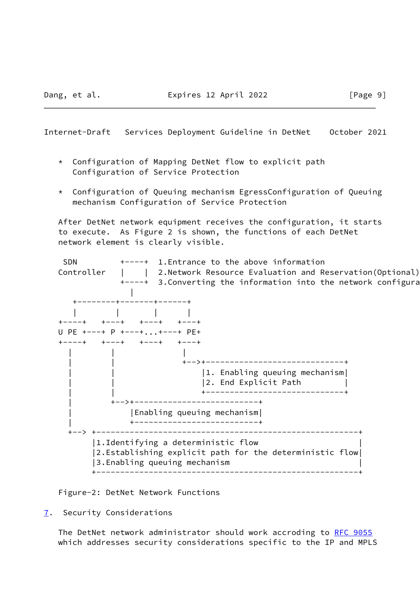<span id="page-10-1"></span>Internet-Draft Services Deployment Guideline in DetNet October 2021

- \* Configuration of Mapping DetNet flow to explicit path Configuration of Service Protection
- \* Configuration of Queuing mechanism EgressConfiguration of Queuing mechanism Configuration of Service Protection

 After DetNet network equipment receives the configuration, it starts to execute. As Figure 2 is shown, the functions of each DetNet network element is clearly visible.



Figure-2: DetNet Network Functions

<span id="page-10-0"></span>[7](#page-10-0). Security Considerations

The DetNet network administrator should work accroding to [RFC 9055](https://datatracker.ietf.org/doc/pdf/rfc9055) which addresses security considerations specific to the IP and MPLS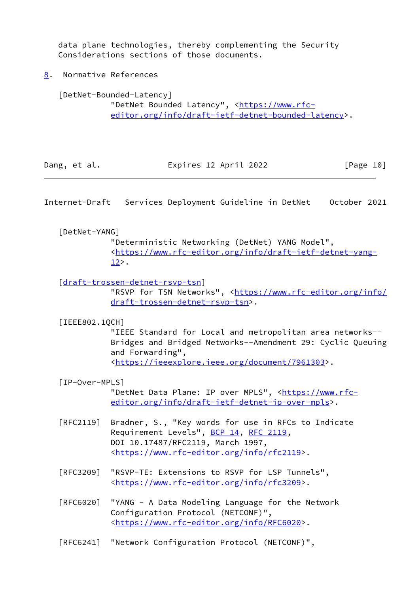data plane technologies, thereby complementing the Security Considerations sections of those documents.

<span id="page-11-0"></span>[8](#page-11-0). Normative References

<span id="page-11-2"></span> [DetNet-Bounded-Latency] "DetNet Bounded Latency", [<https://www.rfc](https://www.rfc-editor.org/info/draft-ietf-detnet-bounded-latency) [editor.org/info/draft-ietf-detnet-bounded-latency>](https://www.rfc-editor.org/info/draft-ietf-detnet-bounded-latency).

| Dang, et al. | Expires 12 April 2022 | [Page 10] |
|--------------|-----------------------|-----------|
|              |                       |           |

Internet-Draft Services Deployment Guideline in DetNet October 2021

## <span id="page-11-3"></span>[DetNet-YANG]

 "Deterministic Networking (DetNet) YANG Model", <[https://www.rfc-editor.org/info/draft-ietf-detnet-yang-](https://www.rfc-editor.org/info/draft-ietf-detnet-yang-12) [12>](https://www.rfc-editor.org/info/draft-ietf-detnet-yang-12).

[\[draft-trossen-detnet-rsvp-tsn](https://datatracker.ietf.org/doc/pdf/draft-trossen-detnet-rsvp-tsn)]

"RSVP for TSN Networks", [<https://www.rfc-editor.org/info/](https://www.rfc-editor.org/info/draft-trossen-detnet-rsvp-tsn) [draft-trossen-detnet-rsvp-tsn>](https://www.rfc-editor.org/info/draft-trossen-detnet-rsvp-tsn).

[IEEE802.1QCH]

 "IEEE Standard for Local and metropolitan area networks-- Bridges and Bridged Networks--Amendment 29: Cyclic Queuing and Forwarding", <[https://ieeexplore.ieee.org/document/7961303>](https://ieeexplore.ieee.org/document/7961303).

<span id="page-11-1"></span>[IP-Over-MPLS]

"DetNet Data Plane: IP over MPLS", <[https://www.rfc](https://www.rfc-editor.org/info/draft-ietf-detnet-ip-over-mpls) [editor.org/info/draft-ietf-detnet-ip-over-mpls](https://www.rfc-editor.org/info/draft-ietf-detnet-ip-over-mpls)>.

- [RFC2119] Bradner, S., "Key words for use in RFCs to Indicate Requirement Levels", [BCP 14](https://datatracker.ietf.org/doc/pdf/bcp14), [RFC 2119](https://datatracker.ietf.org/doc/pdf/rfc2119), DOI 10.17487/RFC2119, March 1997, <[https://www.rfc-editor.org/info/rfc2119>](https://www.rfc-editor.org/info/rfc2119).
- [RFC3209] "RSVP-TE: Extensions to RSVP for LSP Tunnels", <[https://www.rfc-editor.org/info/rfc3209>](https://www.rfc-editor.org/info/rfc3209).
- [RFC6020] "YANG A Data Modeling Language for the Network Configuration Protocol (NETCONF)", <[https://www.rfc-editor.org/info/RFC6020>](https://www.rfc-editor.org/info/RFC6020).

[RFC6241] "Network Configuration Protocol (NETCONF)",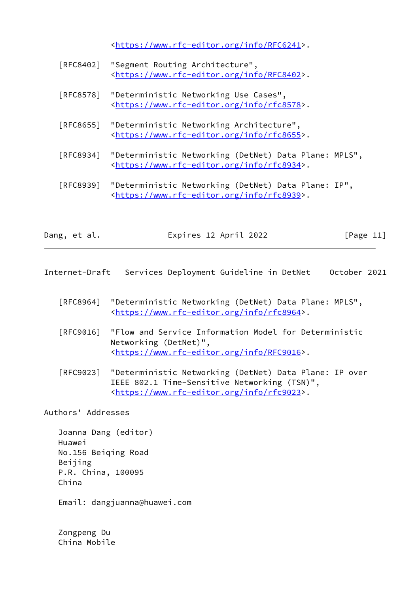<[https://www.rfc-editor.org/info/RFC6241>](https://www.rfc-editor.org/info/RFC6241).

| [RFC8402] "Segment Routing Architecture",                   |
|-------------------------------------------------------------|
| <https: info="" rfc8402="" www.rfc-editor.org="">.</https:> |

- [RFC8578] "Deterministic Networking Use Cases", <[https://www.rfc-editor.org/info/rfc8578>](https://www.rfc-editor.org/info/rfc8578).
- [RFC8655] "Deterministic Networking Architecture", <[https://www.rfc-editor.org/info/rfc8655>](https://www.rfc-editor.org/info/rfc8655).
- [RFC8934] "Deterministic Networking (DetNet) Data Plane: MPLS", <[https://www.rfc-editor.org/info/rfc8934>](https://www.rfc-editor.org/info/rfc8934).

 [RFC8939] "Deterministic Networking (DetNet) Data Plane: IP", <[https://www.rfc-editor.org/info/rfc8939>](https://www.rfc-editor.org/info/rfc8939).

| Dang, et al. | Expires 12 April 2022 | [Page 11] |
|--------------|-----------------------|-----------|
|              |                       |           |

<span id="page-12-0"></span>Internet-Draft Services Deployment Guideline in DetNet October 2021

- [RFC8964] "Deterministic Networking (DetNet) Data Plane: MPLS", <[https://www.rfc-editor.org/info/rfc8964>](https://www.rfc-editor.org/info/rfc8964).
- [RFC9016] "Flow and Service Information Model for Deterministic Networking (DetNet)", <[https://www.rfc-editor.org/info/RFC9016>](https://www.rfc-editor.org/info/RFC9016).
- [RFC9023] "Deterministic Networking (DetNet) Data Plane: IP over IEEE 802.1 Time-Sensitive Networking (TSN)", <[https://www.rfc-editor.org/info/rfc9023>](https://www.rfc-editor.org/info/rfc9023).

Authors' Addresses

 Joanna Dang (editor) Huawei No.156 Beiqing Road Beijing P.R. China, 100095 China

Email: dangjuanna@huawei.com

 Zongpeng Du China Mobile